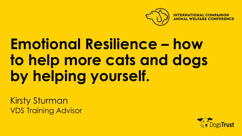

### **Emotional Resilience – how to help more cats and dogs by helping yourself.**

Kirsty Sturman VDS Training Advisor

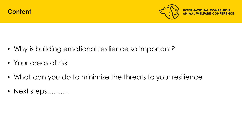

- Why is building emotional resilience so important?
- Your areas of risk
- What can you do to minimize the threats to your resilience
- Next steps……….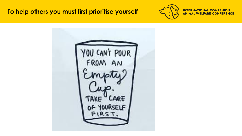#### **To help others you must first prioritise yourself**



**INTERNATIONAL COMPANION ANIMAL WELFARE CONFERENCE** 

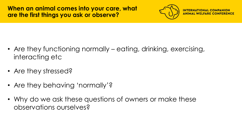

**INTERNAT** 

- Are they functioning normally eating, drinking, exercising, interacting etc
- Are they stressed?
- Are they behaving 'normally'?
- Why do we ask these questions of owners or make these observations ourselves?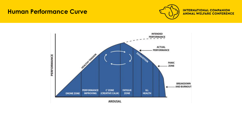#### **Human Performance Curve**



**INTERNATIONAL COMPANION ANIMAL WELFARE CONFERENCE** 

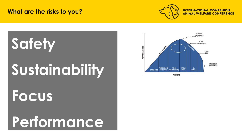#### **What are the risks to you?**



#### **INTERNATIONAL CO ANIMAL WELFARE C**

# **Safety Sustainability Focus Performance**

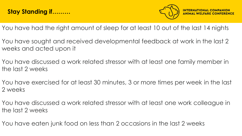

- You have had the right amount of sleep for at least 10 out of the last 14 nights
- You have sought and received developmental feedback at work in the last 2 weeks and acted upon it
- You have discussed a work related stressor with at least one family member in the last 2 weeks
- You have exercised for at least 30 minutes, 3 or more times per week in the last 2 weeks
- You have discussed a work related stressor with at least one work colleague in the last 2 weeks
- You have eaten junk food on less than 2 occasions in the last 2 weeks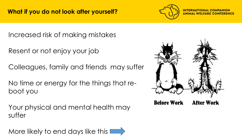

**INTERNATIO** 

Increased risk of making mistakes

Resent or not enjoy your job

Colleagues, family and friends may suffer

No time or energy for the things that reboot you

Your physical and mental health may suffer

More likely to end days like this

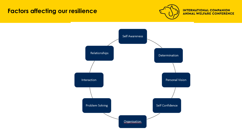#### **Factors affecting our resilience**



**INTERNATIONAL COMPANION ANIMAL WELFARE CONFERENCE** 

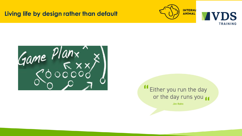#### **Living life by design rather than default**







Either you run the day or the day runs you

**Jim Rohn**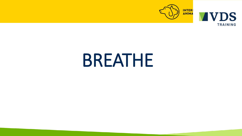



## BREATHE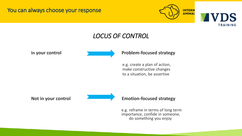You can always choose your response





#### *LOCUS OF CONTROL*

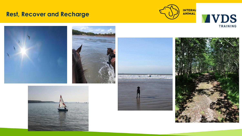#### **Rest, Recover and Recharge**











**VDS**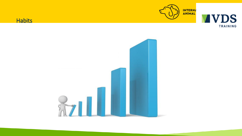

**VVDS** 

TRAINING



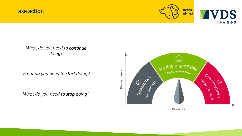#### Take action



**TRAINING** 

*What do you need to continue doing?*

*What do you need to start doing?*

*What do you need to stop doing?*

 $\cdot$  . Having a good <sub>Pea</sub>k performa<sub>nce</sub> Drewings opening Disense S Headline Channel

Pressure

Performance